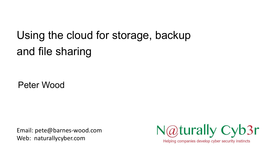Using the cloud for storage, backup and file sharing

Peter Wood

Email: pete@barnes-wood.com Web: naturallycyber.com



Helping companies develop cyber security instincts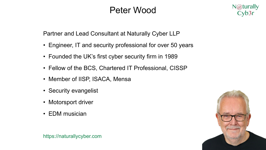### Peter Wood



Partner and Lead Consultant at Naturally Cyber LLP

- Engineer, IT and security professional for over 50 years
- Founded the UK's first cyber security firm in 1989
- Fellow of the BCS, Chartered IT Professional, CISSP
- Member of IISP, ISACA, Mensa
- Security evangelist
- Motorsport driver
- EDM musician



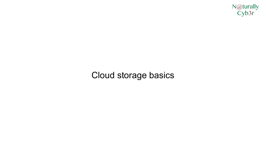

#### Cloud storage basics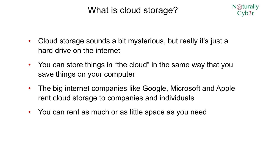### What is cloud storage?



- Cloud storage sounds a bit mysterious, but really it's just a hard drive on the internet
- You can store things in "the cloud" in the same way that you save things on your computer
- The big internet companies like Google, Microsoft and Apple rent cloud storage to companies and individuals
- You can rent as much or as little space as you need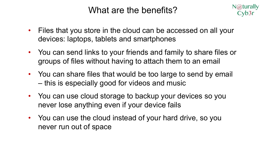#### What are the benefits?

- $N@$ turally Cyb3r
- Files that you store in the cloud can be accessed on all your devices: laptops, tablets and smartphones
- You can send links to your friends and family to share files or groups of files without having to attach them to an email
- You can share files that would be too large to send by email – this is especially good for videos and music
- You can use cloud storage to backup your devices so you never lose anything even if your device fails
- You can use the cloud instead of your hard drive, so you never run out of space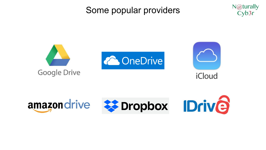### Some popular providers





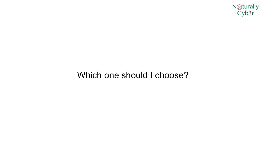

#### Which one should I choose?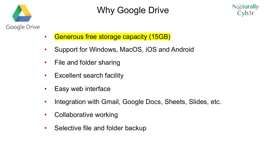

# Why Google Drive



- Generous free storage capacity (15GB)
- Support for Windows, MacOS, iOS and Android
- File and folder sharing
- Excellent search facility
- Easy web interface
- Integration with Gmail, Google Docs, Sheets, Slides, etc.
- Collaborative working
- Selective file and folder backup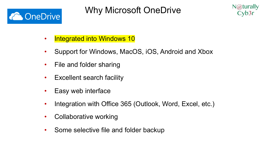

Why Microsoft OneDrive



- Integrated into Windows 10
- Support for Windows, MacOS, iOS, Android and Xbox
- File and folder sharing
- Excellent search facility
- Easy web interface
- Integration with Office 365 (Outlook, Word, Excel, etc.)
- Collaborative working
- Some selective file and folder backup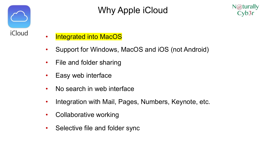

# Why Apple iCloud



- Integrated into MacOS
- Support for Windows, MacOS and iOS (not Android)
- File and folder sharing
- Easy web interface
- No search in web interface
- Integration with Mail, Pages, Numbers, Keynote, etc.
- Collaborative working
- Selective file and folder sync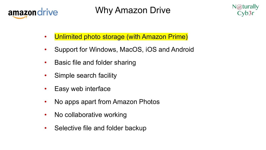

Why Amazon Drive



- Unlimited photo storage (with Amazon Prime)
- Support for Windows, MacOS, iOS and Android
- Basic file and folder sharing
- Simple search facility
- Easy web interface
- No apps apart from Amazon Photos
- No collaborative working
- Selective file and folder backup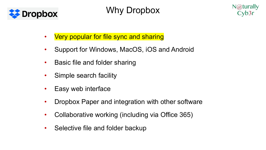

### Why Dropbox



- Very popular for file sync and sharing
- Support for Windows, MacOS, iOS and Android
- Basic file and folder sharing
- Simple search facility
- Easy web interface
- Dropbox Paper and integration with other software
- Collaborative working (including via Office 365)
- Selective file and folder backup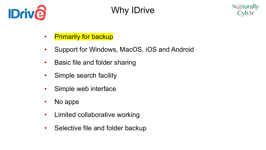

# Why IDrive



- Primarily for backup
- Support for Windows, MacOS, iOS and Android
- Basic file and folder sharing
- Simple search facility
- Simple web interface
- No apps
- Limited collaborative working
- Selective file and folder backup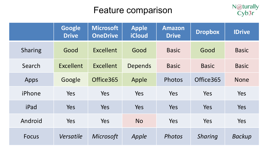### Feature comparison



|                | <b>Google</b><br><b>Drive</b> | <b>Microsoft</b><br><b>OneDrive</b> | <b>Apple</b><br><b>iCloud</b> | <b>Amazon</b><br><b>Drive</b> | <b>Dropbox</b> | <b>IDrive</b> |
|----------------|-------------------------------|-------------------------------------|-------------------------------|-------------------------------|----------------|---------------|
| <b>Sharing</b> | Good                          | Excellent                           | Good                          | <b>Basic</b>                  | Good           | <b>Basic</b>  |
| Search         | Excellent                     | <b>Excellent</b>                    | Depends                       | <b>Basic</b>                  | <b>Basic</b>   | <b>Basic</b>  |
| Apps           | Google                        | Office365                           | Apple                         | Photos                        | Office365      | <b>None</b>   |
| iPhone         | Yes                           | Yes                                 | Yes                           | Yes                           | Yes            | Yes           |
| iPad           | <b>Yes</b>                    | Yes                                 | Yes                           | Yes                           | <b>Yes</b>     | Yes           |
| Android        | Yes                           | Yes                                 | <b>No</b>                     | Yes                           | Yes            | Yes           |
| <b>Focus</b>   | Versatile                     | Microsoft                           | Apple                         | Photos                        | <b>Sharing</b> | <b>Backup</b> |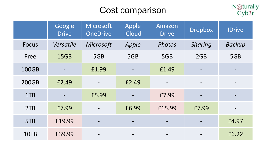### Cost comparison



|              | Google<br><b>Drive</b> | Microsoft<br><b>OneDrive</b> | Apple<br>iCloud          | Amazon<br><b>Drive</b> | <b>Dropbox</b>  | <b>IDrive</b> |
|--------------|------------------------|------------------------------|--------------------------|------------------------|-----------------|---------------|
| <b>Focus</b> | Versatile              | Microsoft                    | Apple                    | Photos                 | <b>Sharing</b>  | <b>Backup</b> |
| Free         | 15GB                   | 5GB                          | 5GB                      | 5GB                    | 2GB             | 5GB           |
| 100GB        |                        | £1.99                        |                          | £1.49                  |                 |               |
| <b>200GB</b> | £2.49                  |                              | £2.49                    |                        | $\qquad \qquad$ |               |
| 1TB          |                        | £5.99                        |                          | £7.99                  |                 |               |
| 2TB          | £7.99                  |                              | £6.99                    | £15.99                 | £7.99           |               |
| 5TB          | £19.99                 | $\overline{\phantom{a}}$     |                          |                        |                 | £4.97         |
| 10TB         | £39.99                 |                              | $\overline{\phantom{a}}$ |                        |                 | £6.22         |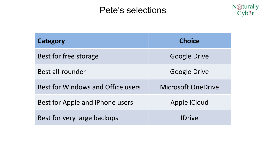### Pete's selections



| Category                               | <b>Choice</b>             |  |  |
|----------------------------------------|---------------------------|--|--|
| Best for free storage                  | <b>Google Drive</b>       |  |  |
| Best all-rounder                       | <b>Google Drive</b>       |  |  |
| Best for Windows and Office users      | <b>Microsoft OneDrive</b> |  |  |
| Best for Apple and <i>iPhone</i> users | Apple iCloud              |  |  |
| Best for very large backups            | <b>IDrive</b>             |  |  |